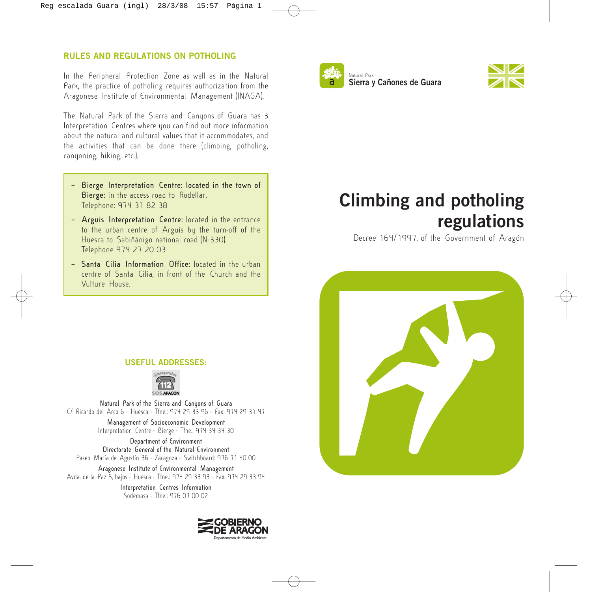#### **RULES AND REGULATIONS ON POTHOLING**

In the Peripheral Protection Zone as well as in the Natural Park, the practice of potholing requires authorization from the Aragonese Institute of Environmental Management (INAGA).

The Natural Park of the Sierra and Canyons of Guara has 3 Interpretation Centres where you can find out more information about the natural and cultural values that it accommodates, and the activities that can be done there (climbing, potholing, canyoning, hiking, etc.).

- **– Bierge Interpretation Centre: located in the town of Bierge:** in the access road to Rodellar. Telephone: 974 31 82 38
- **– Arguis Interpretation Centre:** located in the entrance to the urban centre of Arguis by the turn-off of the Huesca to Sabiñánigo national road (N-330). Telephone 974 27 20 03
- **– Santa Cilia Information Office:** located in the urban centre of Santa Cilia, in front of the Church and the Vulture House.

### Natural Park **a Sierra y Cañones de Guara**



# **Climbing and potholing regulations**

Decree 164/1997, of the Government of Aragón



#### **USEFUL ADDRESSES:**



**Natural Park of the Sierra and Canyons of Guara** C/ Ricardo del Arco 6 - Huesca - Tfne.: 974 29 33 96 - Fax: 974 29 31 47

> **Management of Socioeconomic Development** Interpretation Centre - Bierge - Tfne.: 974 34 34 30

**Department of Environment Directorate General of the Natural Environment** Paseo María de Agustín 36 - Zaragoza - Switchboard: 976 71 40 00

**Aragonese Institute of Environmental Management**  Avda. de la Paz 5, bajos - Huesca - Tfne.: 974 29 33 93 - Fax: 974 29 33 94

> **Interpretation Centres Information**  Sodemasa - Tfne.: 976 07 00 02